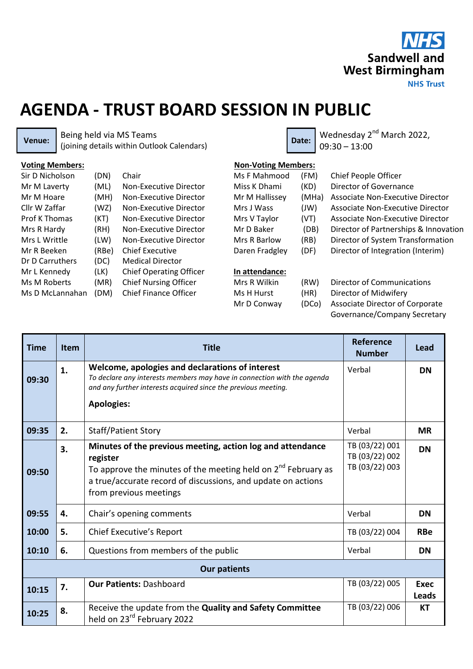

## **AGENDA - TRUST BOARD SESSION IN PUBLIC**

**Venue:** Being held via MS Teams Being held via MS Teams<br>(joining details within Outlook Calendars) **Date:** Date: 09:30 - 13:00

09:30 – 13:00

| <b>Voting Members:</b> |       |                                | <b>Non-Voting Members:</b> |       |                                       |  |
|------------------------|-------|--------------------------------|----------------------------|-------|---------------------------------------|--|
| Sir D Nicholson        | (DN)  | Chair                          | Ms F Mahmood               | (FM)  | Chief People Officer                  |  |
| Mr M Laverty           | (ML)  | Non-Executive Director         | Miss K Dhami               | (KD)  | Director of Governance                |  |
| Mr M Hoare             | (MH)  | Non-Executive Director         | Mr M Hallissey             | (MHa) | Associate Non-Executive Director      |  |
| Cllr W Zaffar          | (WZ)  | Non-Executive Director         | Mrs J Wass                 | (JW)  | Associate Non-Executive Director      |  |
| <b>Prof K Thomas</b>   | (KT)  | Non-Executive Director         | Mrs V Taylor               | (VT)  | Associate Non-Executive Director      |  |
| Mrs R Hardy            | (RH)  | Non-Executive Director         | Mr D Baker                 | (DB)  | Director of Partnerships & Innovation |  |
| Mrs L Writtle          | (LW)  | Non-Executive Director         | Mrs R Barlow               | (RB)  | Director of System Transformation     |  |
| Mr R Beeken            | (RBe) | <b>Chief Executive</b>         | Daren Fradgley             | (DF)  | Director of Integration (Interim)     |  |
| Dr D Carruthers        | (DC)  | <b>Medical Director</b>        |                            |       |                                       |  |
| Mr L Kennedy           | (LK)  | <b>Chief Operating Officer</b> | In attendance:             |       |                                       |  |
| Ms M Roberts           | (MR)  | <b>Chief Nursing Officer</b>   | Mrs R Wilkin               | (RW)  | Director of Communications            |  |
| Ms D McLannahan        | (DM)  | <b>Chief Finance Officer</b>   | Ms H Hurst                 | (HR)  | Director of Midwifery                 |  |

Mr D Conway

- (DCo) Associate Director of Corporate
	- Governance/Company Secretary

| <b>Time</b>         | <b>Item</b> | <b>Title</b>                                                                                                                                                                                                                           | Reference<br><b>Number</b>                         | Lead                 |  |  |  |  |  |
|---------------------|-------------|----------------------------------------------------------------------------------------------------------------------------------------------------------------------------------------------------------------------------------------|----------------------------------------------------|----------------------|--|--|--|--|--|
| 09:30               | 1.          | Welcome, apologies and declarations of interest<br>To declare any interests members may have in connection with the agenda<br>and any further interests acquired since the previous meeting.<br><b>Apologies:</b>                      | Verbal                                             | <b>DN</b>            |  |  |  |  |  |
| 09:35               | 2.          | <b>Staff/Patient Story</b>                                                                                                                                                                                                             | Verbal                                             | <b>MR</b>            |  |  |  |  |  |
| 09:50               | 3.          | Minutes of the previous meeting, action log and attendance<br>register<br>To approve the minutes of the meeting held on $2^{nd}$ February as<br>a true/accurate record of discussions, and update on actions<br>from previous meetings | TB (03/22) 001<br>TB (03/22) 002<br>TB (03/22) 003 | <b>DN</b>            |  |  |  |  |  |
| 09:55               | 4.          | Chair's opening comments                                                                                                                                                                                                               | Verbal                                             | <b>DN</b>            |  |  |  |  |  |
| 10:00               | 5.          | Chief Executive's Report                                                                                                                                                                                                               | TB (03/22) 004                                     | <b>RBe</b>           |  |  |  |  |  |
| 10:10               | 6.          | Questions from members of the public                                                                                                                                                                                                   | Verbal                                             | <b>DN</b>            |  |  |  |  |  |
| <b>Our patients</b> |             |                                                                                                                                                                                                                                        |                                                    |                      |  |  |  |  |  |
| 10:15               | 7.          | <b>Our Patients: Dashboard</b>                                                                                                                                                                                                         | TB (03/22) 005                                     | <b>Exec</b><br>Leads |  |  |  |  |  |
| 10:25               | 8.          | Receive the update from the Quality and Safety Committee<br>held on 23 <sup>rd</sup> February 2022                                                                                                                                     | TB (03/22) 006                                     | КT                   |  |  |  |  |  |